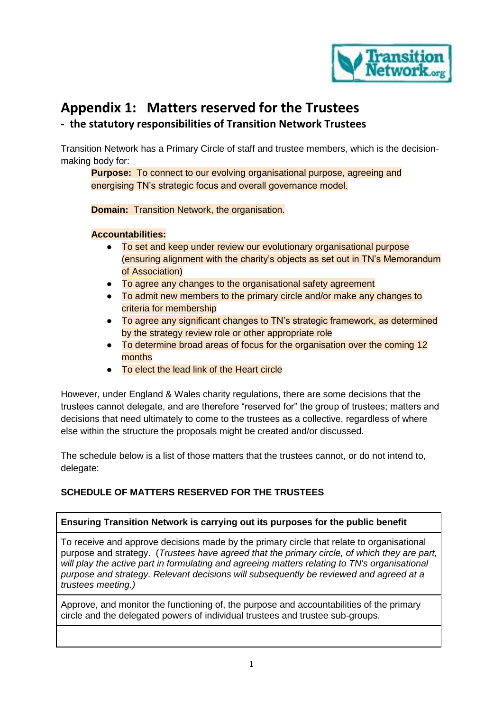

# **Appendix 1: Matters reserved for the Trustees**

# **- the statutory responsibilities of Transition Network Trustees**

Transition Network has a Primary Circle of staff and trustee members, which is the decisionmaking body for:

**Purpose:** To connect to our evolving organisational purpose, agreeing and energising TN's strategic focus and overall governance model.

**Domain:** Transition Network, the organisation.

## **Accountabilities:**

- To set and keep under review our evolutionary organisational purpose (ensuring alignment with the charity's objects as set out in TN's Memorandum of Association)
- To agree any changes to the organisational safety agreement
- To admit new members to the primary circle and/or make any changes to criteria for membership
- To agree any significant changes to TN's strategic framework, as determined by the strategy review role or other appropriate role
- To determine broad areas of focus for the organisation over the coming 12 months
- To elect the lead link of the Heart circle

However, under England & Wales charity regulations, there are some decisions that the trustees cannot delegate, and are therefore "reserved for" the group of trustees; matters and decisions that need ultimately to come to the trustees as a collective, regardless of where else within the structure the proposals might be created and/or discussed.

The schedule below is a list of those matters that the trustees cannot, or do not intend to, delegate:

# **SCHEDULE OF MATTERS RESERVED FOR THE TRUSTEES**

# **Ensuring Transition Network is carrying out its purposes for the public benefit**

To receive and approve decisions made by the primary circle that relate to organisational purpose and strategy. (*Trustees have agreed that the primary circle, of which they are part, will play the active part in formulating and agreeing matters relating to TN's organisational purpose and strategy. Relevant decisions will subsequently be reviewed and agreed at a trustees meeting.)*

Approve, and monitor the functioning of, the purpose and accountabilities of the primary circle and the delegated powers of individual trustees and trustee sub-groups.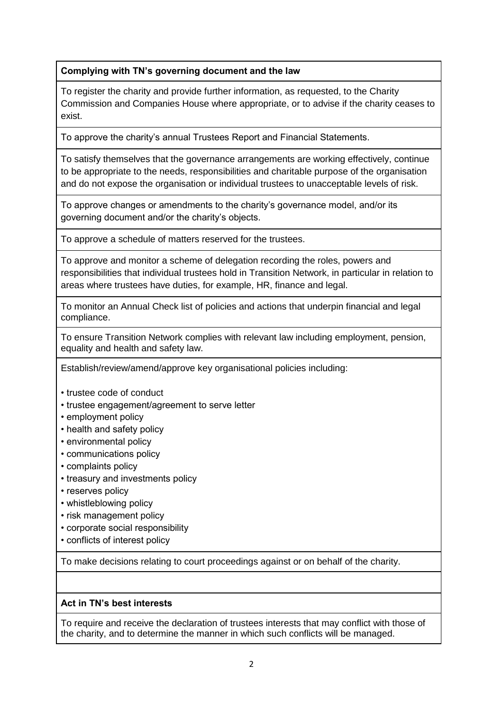## **Complying with TN's governing document and the law**

To register the charity and provide further information, as requested, to the Charity Commission and Companies House where appropriate, or to advise if the charity ceases to exist.

To approve the charity's annual Trustees Report and Financial Statements.

To satisfy themselves that the governance arrangements are working effectively, continue to be appropriate to the needs, responsibilities and charitable purpose of the organisation and do not expose the organisation or individual trustees to unacceptable levels of risk.

To approve changes or amendments to the charity's governance model, and/or its governing document and/or the charity's objects.

To approve a schedule of matters reserved for the trustees.

To approve and monitor a scheme of delegation recording the roles, powers and responsibilities that individual trustees hold in Transition Network, in particular in relation to areas where trustees have duties, for example, HR, finance and legal.

To monitor an Annual Check list of policies and actions that underpin financial and legal compliance.

To ensure Transition Network complies with relevant law including employment, pension, equality and health and safety law.

Establish/review/amend/approve key organisational policies including:

- trustee code of conduct
- trustee engagement/agreement to serve letter
- employment policy
- health and safety policy
- environmental policy
- communications policy
- complaints policy
- treasury and investments policy
- reserves policy
- whistleblowing policy
- risk management policy
- corporate social responsibility
- conflicts of interest policy

To make decisions relating to court proceedings against or on behalf of the charity.

## **Act in TN's best interests**

To require and receive the declaration of trustees interests that may conflict with those of the charity, and to determine the manner in which such conflicts will be managed.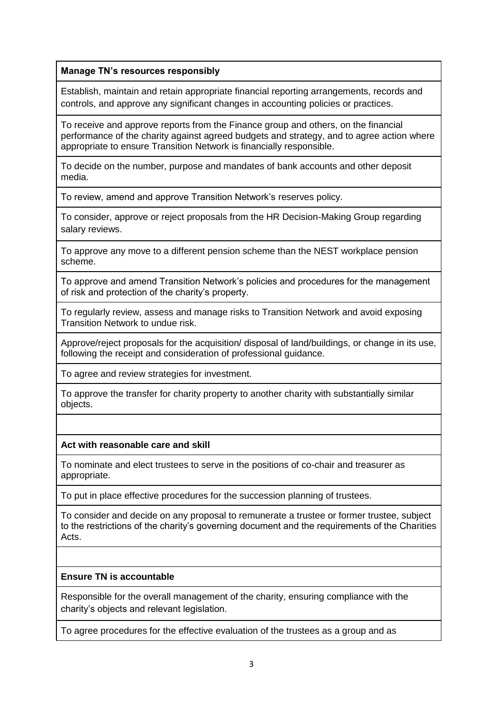## **Manage TN's resources responsibly**

Establish, maintain and retain appropriate financial reporting arrangements, records and controls, and approve any significant changes in accounting policies or practices.

To receive and approve reports from the Finance group and others, on the financial performance of the charity against agreed budgets and strategy, and to agree action where appropriate to ensure Transition Network is financially responsible.

To decide on the number, purpose and mandates of bank accounts and other deposit media.

To review, amend and approve Transition Network's reserves policy.

To consider, approve or reject proposals from the HR Decision-Making Group regarding salary reviews.

To approve any move to a different pension scheme than the NEST workplace pension scheme.

To approve and amend Transition Network's policies and procedures for the management of risk and protection of the charity's property.

To regularly review, assess and manage risks to Transition Network and avoid exposing Transition Network to undue risk.

Approve/reject proposals for the acquisition/ disposal of land/buildings, or change in its use, following the receipt and consideration of professional guidance.

To agree and review strategies for investment.

To approve the transfer for charity property to another charity with substantially similar objects.

## **Act with reasonable care and skill**

To nominate and elect trustees to serve in the positions of co-chair and treasurer as appropriate.

To put in place effective procedures for the succession planning of trustees.

To consider and decide on any proposal to remunerate a trustee or former trustee, subject to the restrictions of the charity's governing document and the requirements of the Charities Acts.

## **Ensure TN is accountable**

Responsible for the overall management of the charity, ensuring compliance with the charity's objects and relevant legislation.

To agree procedures for the effective evaluation of the trustees as a group and as